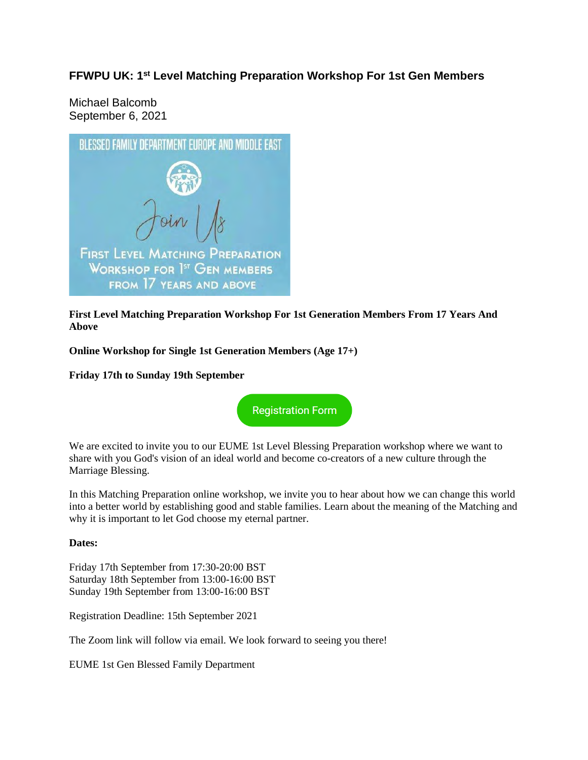## **FFWPU UK: 1st Level Matching Preparation Workshop For 1st Gen Members**

Michael Balcomb September 6, 2021



**First Level Matching Preparation Workshop For 1st Generation Members From 17 Years And Above**

**Online Workshop for Single 1st Generation Members (Age 17+)**

**Friday 17th to Sunday 19th September**



We are excited to invite you to our EUME 1st Level Blessing Preparation workshop where we want to share with you God's vision of an ideal world and become co-creators of a new culture through the Marriage Blessing.

In this Matching Preparation online workshop, we invite you to hear about how we can change this world into a better world by establishing good and stable families. Learn about the meaning of the Matching and why it is important to let God choose my eternal partner.

## **Dates:**

Friday 17th September from 17:30-20:00 BST Saturday 18th September from 13:00-16:00 BST Sunday 19th September from 13:00-16:00 BST

Registration Deadline: 15th September 2021

The Zoom link will follow via email. We look forward to seeing you there!

EUME 1st Gen Blessed Family Department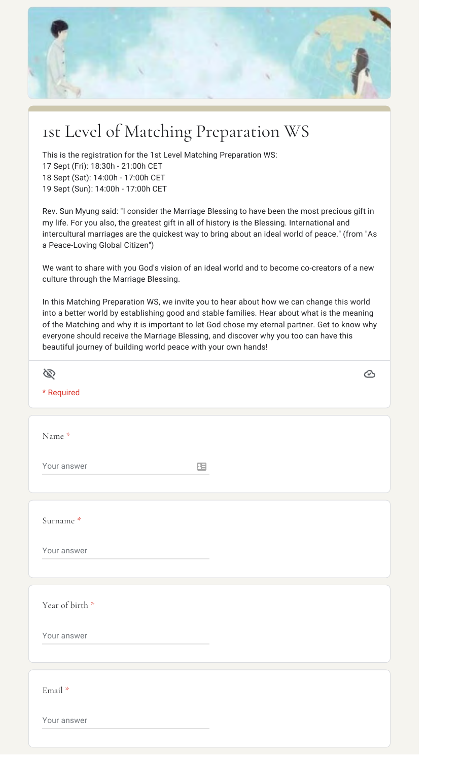

## 1st Level of Matching Preparation WS

This is the registration for the 1st Level Matching Preparation WS: 17 Sept (Fri): 18:30h - 21:00h CET 18 Sept (Sat): 14:00h - 17:00h CET 19 Sept (Sun): 14:00h - 17:00h CET

Rev. Sun Myung said: "I consider the Marriage Blessing to have been the most precious gift in my life. For you also, the greatest gift in all of history is the Blessing. International and intercultural marriages are the quickest way to bring about an ideal world of peace." (from "As a Peace-Loving Global Citizen")

We want to share with you God's vision of an ideal world and to become co-creators of a new culture through the Marriage Blessing.

In this Matching Preparation WS, we invite you to hear about how we can change this world into a better world by establishing good and stable families. Hear about what is the meaning of the Matching and why it is important to let God chose my eternal partner. Get to know why everyone should receive the Marriage Blessing, and discover why you too can have this beautiful journey of building world peace with your own hands!

| B                        |   | $\odot$ |
|--------------------------|---|---------|
| * Required               |   |         |
|                          |   |         |
| Name *                   |   |         |
| Your answer              | 国 |         |
|                          |   |         |
| Surname *                |   |         |
| Your answer              |   |         |
|                          |   |         |
| Year of birth *          |   |         |
| Your answer              |   |         |
|                          |   |         |
| $\operatorname{Email}$ * |   |         |
| Your answer              |   |         |